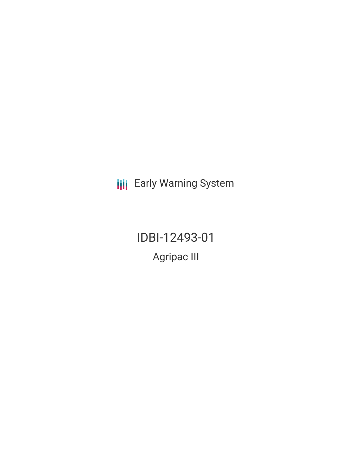**III** Early Warning System

IDBI-12493-01 Agripac III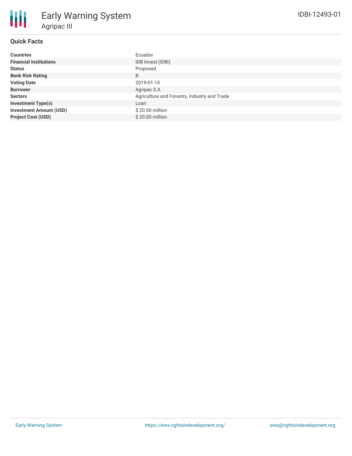## **Quick Facts**

| <b>Countries</b>               | Ecuador                                      |
|--------------------------------|----------------------------------------------|
| <b>Financial Institutions</b>  | IDB Invest (IDBI)                            |
| <b>Status</b>                  | Proposed                                     |
| <b>Bank Risk Rating</b>        | B                                            |
| <b>Voting Date</b>             | 2019-01-15                                   |
| <b>Borrower</b>                | Agripac S.A                                  |
| <b>Sectors</b>                 | Agriculture and Forestry, Industry and Trade |
| <b>Investment Type(s)</b>      | Loan                                         |
| <b>Investment Amount (USD)</b> | $$20.00$ million                             |
| <b>Project Cost (USD)</b>      | \$20.00 million                              |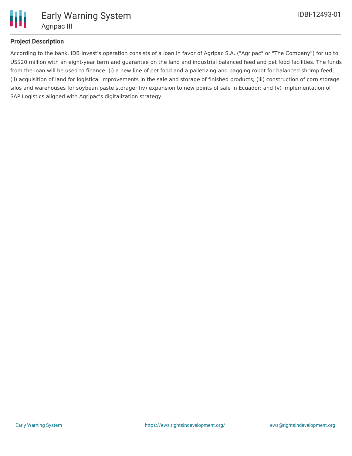

# **Project Description**

According to the bank, IDB Invest's operation consists of a loan in favor of Agripac S.A. ("Agripac" or "The Company") for up to US\$20 million with an eight-year term and guarantee on the land and industrial balanced feed and pet food facilities. The funds from the loan will be used to finance: (i) a new line of pet food and a palletizing and bagging robot for balanced shrimp feed; (ii) acquisition of land for logistical improvements in the sale and storage of finished products; (iii) construction of corn storage silos and warehouses for soybean paste storage; (iv) expansion to new points of sale in Ecuador; and (v) implementation of SAP Logistics aligned with Agripac's digitalization strategy.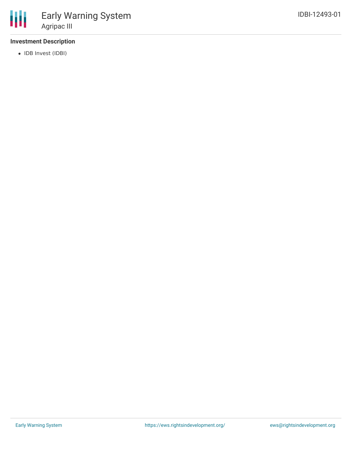### **Investment Description**

• IDB Invest (IDBI)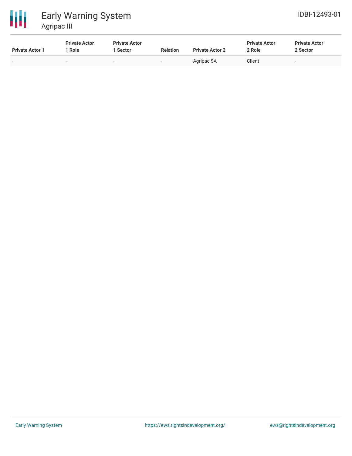



| <b>Private Actor 1</b>   | <b>Private Actor</b><br>' Role | <b>Private Actor</b><br>. Sector | <b>Relation</b>          | <b>Private Actor 2</b> | <b>Private Actor</b><br>2 Role | <b>Private Actor</b><br>2 Sector |
|--------------------------|--------------------------------|----------------------------------|--------------------------|------------------------|--------------------------------|----------------------------------|
| $\overline{\phantom{0}}$ | $\overline{\phantom{a}}$       | $\overline{\phantom{0}}$         | $\overline{\phantom{0}}$ | Agripac SA             | Client                         | $\overline{\phantom{a}}$         |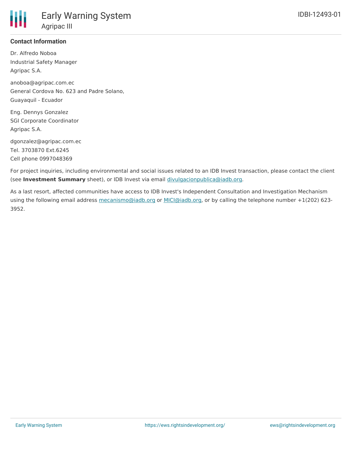

### **Contact Information**

Dr. Alfredo Noboa Industrial Safety Manager Agripac S.A.

anoboa@agripac.com.ec General Cordova No. 623 and Padre Solano, Guayaquil - Ecuador

Eng. Dennys Gonzalez SGI Corporate Coordinator Agripac S.A.

dgonzalez@agripac.com.ec Tel. 3703870 Ext.6245 Cell phone 0997048369

For project inquiries, including environmental and social issues related to an IDB Invest transaction, please contact the client (see **Investment Summary** sheet), or IDB Invest via email [divulgacionpublica@iadb.org](mailto:divulgacionpublica@iadb.org).

As a last resort, affected communities have access to IDB Invest's Independent Consultation and Investigation Mechanism using the following email address [mecanismo@iadb.org](mailto:mecanismo@iadb.org) or [MICI@iadb.org](mailto:MICI@iadb.org), or by calling the telephone number +1(202) 623-3952.